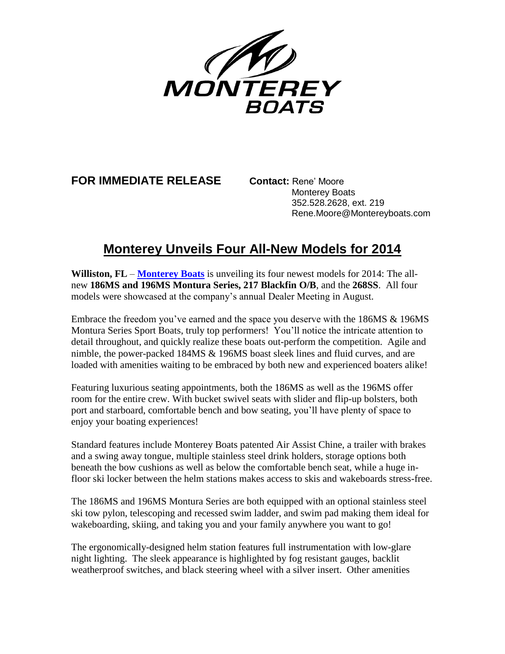

# **FOR IMMEDIATE RELEASE Contact:** Rene' Moore

 Monterey Boats 352.528.2628, ext. 219 Rene.Moore@Montereyboats.com

# **Monterey Unveils Four All-New Models for 2014**

**Williston, FL** – **[Monterey Boats](file:///C:/Users/rmoore/Documents/montereyboats.com)** is unveiling its four newest models for 2014: The allnew **186MS and 196MS Montura Series, 217 Blackfin O/B**, and the **268SS**. All four models were showcased at the company's annual Dealer Meeting in August.

Embrace the freedom you've earned and the space you deserve with the 186MS & 196MS Montura Series Sport Boats, truly top performers! You'll notice the intricate attention to detail throughout, and quickly realize these boats out-perform the competition. Agile and nimble, the power-packed 184MS & 196MS boast sleek lines and fluid curves, and are loaded with amenities waiting to be embraced by both new and experienced boaters alike!

Featuring luxurious seating appointments, both the 186MS as well as the 196MS offer room for the entire crew. With bucket swivel seats with slider and flip-up bolsters, both port and starboard, comfortable bench and bow seating, you'll have plenty of space to enjoy your boating experiences!

Standard features include Monterey Boats patented Air Assist Chine, a trailer with brakes and a swing away tongue, multiple stainless steel drink holders, storage options both beneath the bow cushions as well as below the comfortable bench seat, while a huge infloor ski locker between the helm stations makes access to skis and wakeboards stress-free.

The 186MS and 196MS Montura Series are both equipped with an optional stainless steel ski tow pylon, telescoping and recessed swim ladder, and swim pad making them ideal for wakeboarding, skiing, and taking you and your family anywhere you want to go!

The ergonomically-designed helm station features full instrumentation with low-glare night lighting. The sleek appearance is highlighted by fog resistant gauges, backlit weatherproof switches, and black steering wheel with a silver insert. Other amenities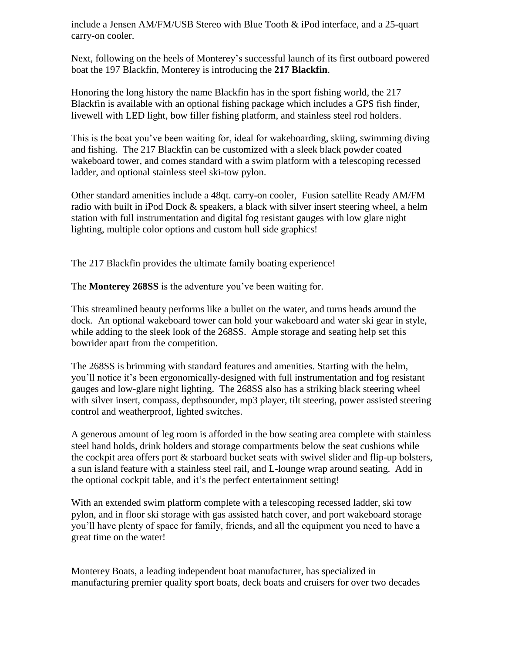include a Jensen AM/FM/USB Stereo with Blue Tooth & iPod interface, and a 25-quart carry-on cooler.

Next, following on the heels of Monterey's successful launch of its first outboard powered boat the 197 Blackfin, Monterey is introducing the **217 Blackfin**.

Honoring the long history the name Blackfin has in the sport fishing world, the 217 Blackfin is available with an optional fishing package which includes a GPS fish finder, livewell with LED light, bow filler fishing platform, and stainless steel rod holders.

This is the boat you've been waiting for, ideal for wakeboarding, skiing, swimming diving and fishing. The 217 Blackfin can be customized with a sleek black powder coated wakeboard tower, and comes standard with a swim platform with a telescoping recessed ladder, and optional stainless steel ski-tow pylon.

Other standard amenities include a 48qt. carry-on cooler, Fusion satellite Ready AM/FM radio with built in iPod Dock & speakers, a black with silver insert steering wheel, a helm station with full instrumentation and digital fog resistant gauges with low glare night lighting, multiple color options and custom hull side graphics!

The 217 Blackfin provides the ultimate family boating experience!

The **Monterey 268SS** is the adventure you've been waiting for.

This streamlined beauty performs like a bullet on the water, and turns heads around the dock. An optional wakeboard tower can hold your wakeboard and water ski gear in style, while adding to the sleek look of the 268SS. Ample storage and seating help set this bowrider apart from the competition.

The 268SS is brimming with standard features and amenities. Starting with the helm, you'll notice it's been ergonomically-designed with full instrumentation and fog resistant gauges and low-glare night lighting. The 268SS also has a striking black steering wheel with silver insert, compass, depthsounder, mp3 player, tilt steering, power assisted steering control and weatherproof, lighted switches.

A generous amount of leg room is afforded in the bow seating area complete with stainless steel hand holds, drink holders and storage compartments below the seat cushions while the cockpit area offers port & starboard bucket seats with swivel slider and flip-up bolsters, a sun island feature with a stainless steel rail, and L-lounge wrap around seating. Add in the optional cockpit table, and it's the perfect entertainment setting!

With an extended swim platform complete with a telescoping recessed ladder, ski tow pylon, and in floor ski storage with gas assisted hatch cover, and port wakeboard storage you'll have plenty of space for family, friends, and all the equipment you need to have a great time on the water!

Monterey Boats, a leading independent boat manufacturer, has specialized in manufacturing premier quality sport boats, deck boats and cruisers for over two decades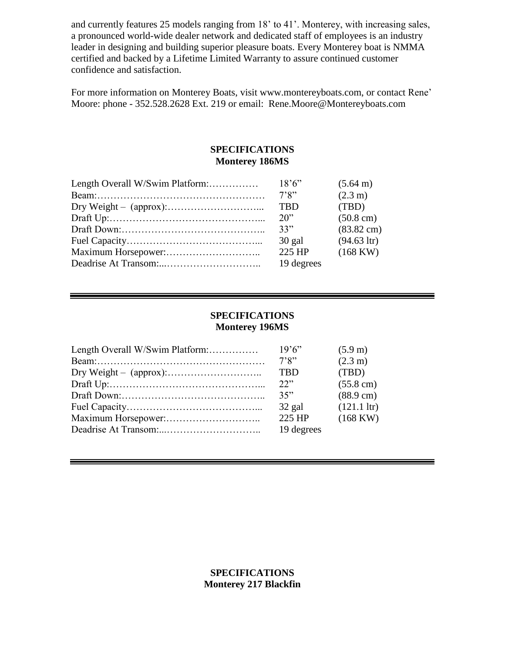and currently features 25 models ranging from 18' to 41'. Monterey, with increasing sales, a pronounced world-wide dealer network and dedicated staff of employees is an industry leader in designing and building superior pleasure boats. Every Monterey boat is NMMA certified and backed by a Lifetime Limited Warranty to assure continued customer confidence and satisfaction.

For more information on Monterey Boats, visit www.montereyboats.com, or contact Rene' Moore: phone - 352.528.2628 Ext. 219 or email: Rene.Moore@Montereyboats.com

#### **SPECIFICATIONS Monterey 186MS**

| 18'6''     | $(5.64 \text{ m})$   |
|------------|----------------------|
| 7'8''      | $(2.3 \text{ m})$    |
| <b>TBD</b> | (TBD)                |
| $20$ "     | $(50.8 \text{ cm})$  |
| 33"        | $(83.82 \text{ cm})$ |
| 30 gal     | $(94.63 \text{ hr})$ |
| 225 HP     | $(168 \text{ KW})$   |
| 19 degrees |                      |
|            |                      |

### **SPECIFICATIONS Monterey 196MS**

| Length Overall W/Swim Platform: | 19'6''     | $(5.9 \text{ m})$    |
|---------------------------------|------------|----------------------|
|                                 | 7'8"       | $(2.3 \text{ m})$    |
|                                 | <b>TBD</b> | (TBD)                |
|                                 | 22"        | $(55.8 \text{ cm})$  |
|                                 | 35"        | $(88.9 \text{ cm})$  |
|                                 | $32$ gal   | $(121.1 \text{ hr})$ |
|                                 | 225 HP     | $(168 \text{ KW})$   |
|                                 | 19 degrees |                      |
|                                 |            |                      |